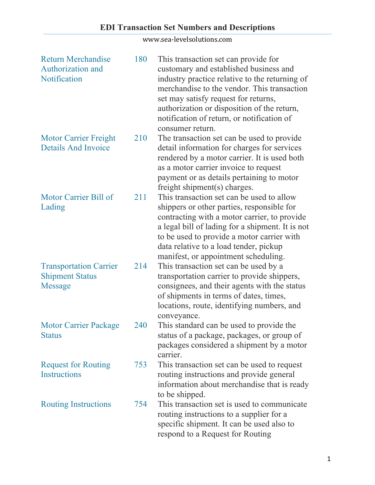# **EDI Transaction Set Numbers and Descriptions**

| <b>Return Merchandise</b><br>Authorization and<br>Notification            | 180 | This transaction set can provide for<br>customary and established business and<br>industry practice relative to the returning of<br>merchandise to the vendor. This transaction<br>set may satisfy request for returns,<br>authorization or disposition of the return,<br>notification of return, or notification of<br>consumer return. |
|---------------------------------------------------------------------------|-----|------------------------------------------------------------------------------------------------------------------------------------------------------------------------------------------------------------------------------------------------------------------------------------------------------------------------------------------|
| <b>Motor Carrier Freight</b><br><b>Details And Invoice</b>                | 210 | The transaction set can be used to provide<br>detail information for charges for services<br>rendered by a motor carrier. It is used both<br>as a motor carrier invoice to request<br>payment or as details pertaining to motor<br>freight shipment(s) charges.                                                                          |
| Motor Carrier Bill of<br>Lading                                           | 211 | This transaction set can be used to allow<br>shippers or other parties, responsible for<br>contracting with a motor carrier, to provide<br>a legal bill of lading for a shipment. It is not<br>to be used to provide a motor carrier with<br>data relative to a load tender, pickup<br>manifest, or appointment scheduling.              |
| <b>Transportation Carrier</b><br><b>Shipment Status</b><br><b>Message</b> | 214 | This transaction set can be used by a<br>transportation carrier to provide shippers,<br>consignees, and their agents with the status<br>of shipments in terms of dates, times,<br>locations, route, identifying numbers, and<br>conveyance.                                                                                              |
| <b>Motor Carrier Package</b><br><b>Status</b>                             | 240 | This standard can be used to provide the<br>status of a package, packages, or group of<br>packages considered a shipment by a motor<br>carrier.                                                                                                                                                                                          |
| <b>Request for Routing</b><br><b>Instructions</b>                         | 753 | This transaction set can be used to request<br>routing instructions and provide general<br>information about merchandise that is ready<br>to be shipped.                                                                                                                                                                                 |
| <b>Routing Instructions</b>                                               | 754 | This transaction set is used to communicate<br>routing instructions to a supplier for a<br>specific shipment. It can be used also to<br>respond to a Request for Routing                                                                                                                                                                 |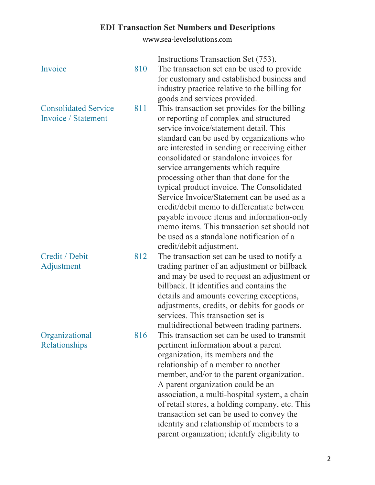| Invoice                                            | 810 | Instructions Transaction Set (753).<br>The transaction set can be used to provide<br>for customary and established business and<br>industry practice relative to the billing for<br>goods and services provided.                                                                                                                                                                                                                                                                                                                                                                                                                                                           |
|----------------------------------------------------|-----|----------------------------------------------------------------------------------------------------------------------------------------------------------------------------------------------------------------------------------------------------------------------------------------------------------------------------------------------------------------------------------------------------------------------------------------------------------------------------------------------------------------------------------------------------------------------------------------------------------------------------------------------------------------------------|
| <b>Consolidated Service</b><br>Invoice / Statement | 811 | This transaction set provides for the billing<br>or reporting of complex and structured<br>service invoice/statement detail. This<br>standard can be used by organizations who<br>are interested in sending or receiving either<br>consolidated or standalone invoices for<br>service arrangements which require<br>processing other than that done for the<br>typical product invoice. The Consolidated<br>Service Invoice/Statement can be used as a<br>credit/debit memo to differentiate between<br>payable invoice items and information-only<br>memo items. This transaction set should not<br>be used as a standalone notification of a<br>credit/debit adjustment. |
| Credit / Debit<br>Adjustment                       | 812 | The transaction set can be used to notify a<br>trading partner of an adjustment or billback<br>and may be used to request an adjustment or<br>billback. It identifies and contains the<br>details and amounts covering exceptions,<br>adjustments, credits, or debits for goods or<br>services. This transaction set is<br>multidirectional between trading partners.                                                                                                                                                                                                                                                                                                      |
| Organizational<br>Relationships                    | 816 | This transaction set can be used to transmit<br>pertinent information about a parent<br>organization, its members and the<br>relationship of a member to another<br>member, and/or to the parent organization.<br>A parent organization could be an<br>association, a multi-hospital system, a chain<br>of retail stores, a holding company, etc. This<br>transaction set can be used to convey the<br>identity and relationship of members to a<br>parent organization; identify eligibility to                                                                                                                                                                           |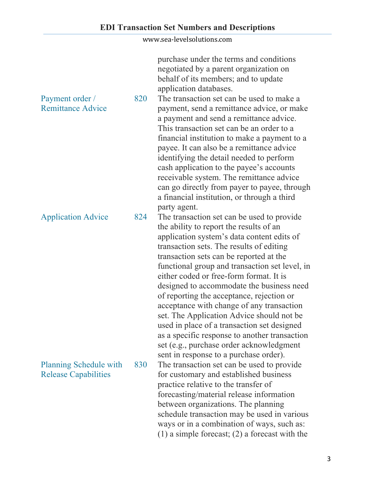purchase under the terms and conditions negotiated by a parent organization on behalf of its members; and to update application databases.

Payment order / Remittance Advice 820 The transaction set can be used to make a payment, send a remittance advice, or make a payment and send a remittance advice. This transaction set can be an order to a financial institution to make a payment to a payee. It can also be a remittance advice identifying the detail needed to perform cash application to the payee's accounts receivable system. The remittance advice can go directly from payer to payee, through a financial institution, or through a third party agent. Application Advice 824 The transaction set can be used to provide

the ability to report the results of an application system's data content edits of transaction sets. The results of editing transaction sets can be reported at the functional group and transaction set level, in either coded or free-form format. It is designed to accommodate the business need of reporting the acceptance, rejection or acceptance with change of any transaction set. The Application Advice should not be used in place of a transaction set designed as a specific response to another transaction set (e.g., purchase order acknowledgment sent in response to a purchase order). Planning Schedule with Release Capabilities 830 The transaction set can be used to provide for customary and established business practice relative to the transfer of forecasting/material release information between organizations. The planning schedule transaction may be used in various ways or in a combination of ways, such as: (1) a simple forecast; (2) a forecast with the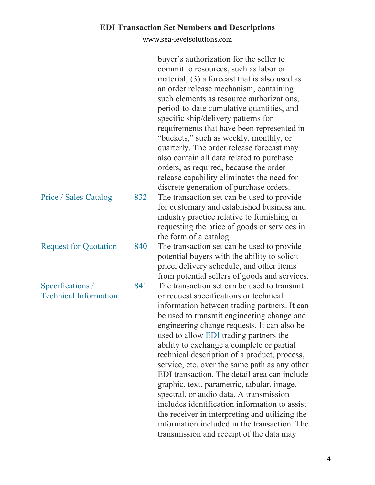|                              |     | buyer's authorization for the seller to<br>commit to resources, such as labor or |
|------------------------------|-----|----------------------------------------------------------------------------------|
|                              |     | material; $(3)$ a forecast that is also used as                                  |
|                              |     | an order release mechanism, containing                                           |
|                              |     | such elements as resource authorizations,                                        |
|                              |     | period-to-date cumulative quantities, and                                        |
|                              |     | specific ship/delivery patterns for                                              |
|                              |     | requirements that have been represented in                                       |
|                              |     | "buckets," such as weekly, monthly, or                                           |
|                              |     | quarterly. The order release forecast may                                        |
|                              |     | also contain all data related to purchase                                        |
|                              |     | orders, as required, because the order                                           |
|                              |     | release capability eliminates the need for                                       |
|                              |     | discrete generation of purchase orders.                                          |
| <b>Price / Sales Catalog</b> | 832 | The transaction set can be used to provide                                       |
|                              |     | for customary and established business and                                       |
|                              |     | industry practice relative to furnishing or                                      |
|                              |     | requesting the price of goods or services in                                     |
|                              |     | the form of a catalog.                                                           |
| <b>Request for Quotation</b> | 840 | The transaction set can be used to provide                                       |
|                              |     | potential buyers with the ability to solicit                                     |
|                              |     | price, delivery schedule, and other items                                        |
|                              |     | from potential sellers of goods and services.                                    |
| Specifications /             | 841 | The transaction set can be used to transmit                                      |
| <b>Technical Information</b> |     | or request specifications or technical                                           |
|                              |     | information between trading partners. It can                                     |
|                              |     | be used to transmit engineering change and                                       |
|                              |     | engineering change requests. It can also be                                      |
|                              |     | used to allow EDI trading partners the                                           |
|                              |     | ability to exchange a complete or partial                                        |
|                              |     | technical description of a product, process,                                     |
|                              |     | service, etc. over the same path as any other                                    |
|                              |     | EDI transaction. The detail area can include                                     |
|                              |     | graphic, text, parametric, tabular, image,                                       |
|                              |     | spectral, or audio data. A transmission                                          |
|                              |     | includes identification information to assist                                    |
|                              |     | the receiver in interpreting and utilizing the                                   |
|                              |     | information included in the transaction. The                                     |
|                              |     | transmission and receipt of the data may                                         |
|                              |     |                                                                                  |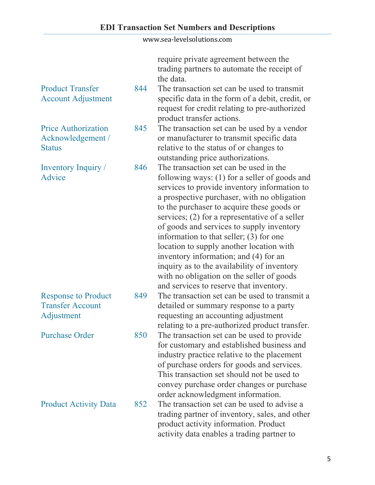require private agreement between the trading partners to automate the receipt of the data.

- 844 The transaction set can be used to transmit specific data in the form of a debit, credit, or request for credit relating to pre-authorized product transfer actions.
- 845 The transaction set can be used by a vendor or manufacturer to transmit specific data relative to the status of or changes to outstanding price authorizations.
- 846 The transaction set can be used in the following ways: (1) for a seller of goods and services to provide inventory information to a prospective purchaser, with no obligation to the purchaser to acquire these goods or services; (2) for a representative of a seller of goods and services to supply inventory information to that seller; (3) for one location to supply another location with inventory information; and (4) for an inquiry as to the availability of inventory with no obligation on the seller of goods and services to reserve that inventory.
- 849 The transaction set can be used to transmit a detailed or summary response to a party requesting an accounting adjustment relating to a pre-authorized product transfer.
- Purchase Order 850 The transaction set can be used to provide for customary and established business and industry practice relative to the placement of purchase orders for goods and services. This transaction set should not be used to convey purchase order changes or purchase order acknowledgment information.
- Product Activity Data 852 The transaction set can be used to advise a trading partner of inventory, sales, and other product activity information. Product activity data enables a trading partner to

| <b>Price Authorization</b> |  |
|----------------------------|--|
| $\lambda$ 1 1 $\lambda$    |  |

Account Adjustment

Acknowledgement / **Status** 

Product Transfer

Inventory Inquiry / Advice

| <b>Response to Product</b> |  |
|----------------------------|--|
| <b>Transfer Account</b>    |  |
| Adjustment                 |  |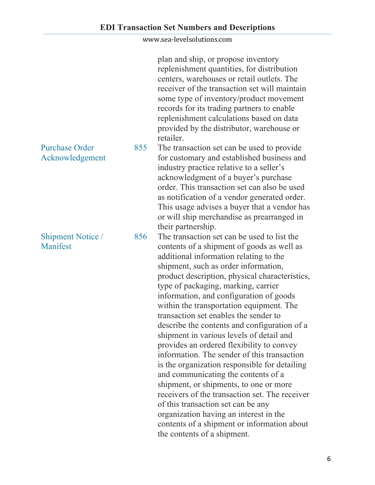plan and ship, or propose inventory replenishment quantities, for distribution centers, warehouses or retail outlets. The receiver of the transaction set will maintain some type of inventory/product movement records for its trading partners to enable replenishment calculations based on data provided by the distributor, warehouse or retailer.

855 The transaction set can be used to provide for customary and established business and industry practice relative to a seller's acknowledgment of a buyer's purchase order. This transaction set can also be used as notification of a vendor generated order. This usage advises a buyer that a vendor has or will ship merchandise as prearranged in their partnership.

856 The transaction set can be used to list the contents of a shipment of goods as well as additional information relating to the shipment, such as order information, product description, physical characteristics, type of packaging, marking, carrier information, and configuration of goods within the transportation equipment. The transaction set enables the sender to describe the contents and configuration of a shipment in various levels of detail and provides an ordered flexibility to convey information. The sender of this transaction is the organization responsible for detailing and communicating the contents of a shipment, or shipments, to one or more receivers of the transaction set. The receiver of this transaction set can be any organization having an interest in the contents of a shipment or information about the contents of a shipment.

### Purchase Order Acknowledgement

### Shipment Notice / Manifest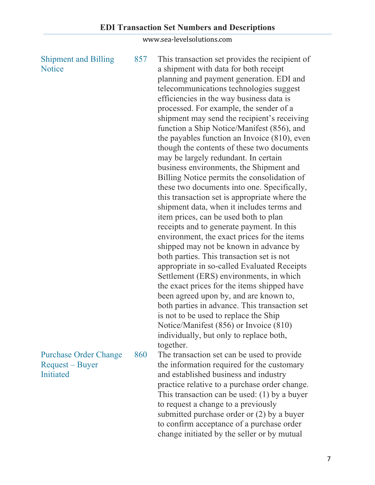| <b>Shipment and Billing</b><br><b>Notice</b>    | 857 | This transaction set provides the recipient of<br>a shipment with data for both receipt<br>planning and payment generation. EDI and<br>telecommunications technologies suggest<br>efficiencies in the way business data is<br>processed. For example, the sender of a<br>shipment may send the recipient's receiving<br>function a Ship Notice/Manifest (856), and<br>the payables function an Invoice $(810)$ , even<br>though the contents of these two documents<br>may be largely redundant. In certain<br>business environments, the Shipment and<br>Billing Notice permits the consolidation of<br>these two documents into one. Specifically,<br>this transaction set is appropriate where the<br>shipment data, when it includes terms and<br>item prices, can be used both to plan<br>receipts and to generate payment. In this<br>environment, the exact prices for the items<br>shipped may not be known in advance by<br>both parties. This transaction set is not<br>appropriate in so-called Evaluated Receipts<br>Settlement (ERS) environments, in which<br>the exact prices for the items shipped have<br>been agreed upon by, and are known to,<br>both parties in advance. This transaction set<br>is not to be used to replace the Ship<br>Notice/Manifest (856) or Invoice (810)<br>individually, but only to replace both,<br>together. |
|-------------------------------------------------|-----|---------------------------------------------------------------------------------------------------------------------------------------------------------------------------------------------------------------------------------------------------------------------------------------------------------------------------------------------------------------------------------------------------------------------------------------------------------------------------------------------------------------------------------------------------------------------------------------------------------------------------------------------------------------------------------------------------------------------------------------------------------------------------------------------------------------------------------------------------------------------------------------------------------------------------------------------------------------------------------------------------------------------------------------------------------------------------------------------------------------------------------------------------------------------------------------------------------------------------------------------------------------------------------------------------------------------------------------------------------------|
| <b>Purchase Order Change</b><br>Request – Buyer | 860 | The transaction set can be used to provide<br>the information required for the customary                                                                                                                                                                                                                                                                                                                                                                                                                                                                                                                                                                                                                                                                                                                                                                                                                                                                                                                                                                                                                                                                                                                                                                                                                                                                      |
| Initiated                                       |     | and established business and industry<br>practice relative to a purchase order change.                                                                                                                                                                                                                                                                                                                                                                                                                                                                                                                                                                                                                                                                                                                                                                                                                                                                                                                                                                                                                                                                                                                                                                                                                                                                        |
|                                                 |     | This transaction can be used: $(1)$ by a buyer                                                                                                                                                                                                                                                                                                                                                                                                                                                                                                                                                                                                                                                                                                                                                                                                                                                                                                                                                                                                                                                                                                                                                                                                                                                                                                                |
|                                                 |     | to request a change to a previously<br>submitted purchase order or $(2)$ by a buyer                                                                                                                                                                                                                                                                                                                                                                                                                                                                                                                                                                                                                                                                                                                                                                                                                                                                                                                                                                                                                                                                                                                                                                                                                                                                           |

to confirm acceptance of a purchase order change initiated by the seller or by mutual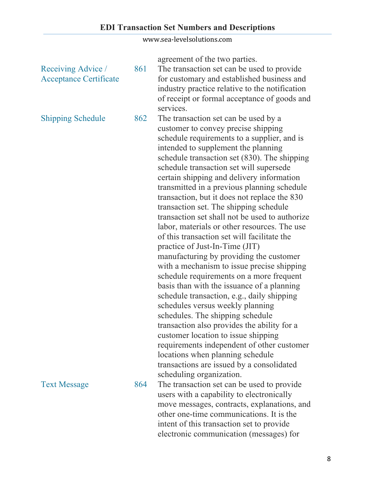|                                                     |     | agreement of the two parties.                                                                                                                                                                                                                                                                                                                                                                                                                                                                                                                                                                                                                                                                                                                                                                                                                                                                                                                                                                                                                                                                                                                                                                   |
|-----------------------------------------------------|-----|-------------------------------------------------------------------------------------------------------------------------------------------------------------------------------------------------------------------------------------------------------------------------------------------------------------------------------------------------------------------------------------------------------------------------------------------------------------------------------------------------------------------------------------------------------------------------------------------------------------------------------------------------------------------------------------------------------------------------------------------------------------------------------------------------------------------------------------------------------------------------------------------------------------------------------------------------------------------------------------------------------------------------------------------------------------------------------------------------------------------------------------------------------------------------------------------------|
| Receiving Advice /<br><b>Acceptance Certificate</b> | 861 | The transaction set can be used to provide<br>for customary and established business and<br>industry practice relative to the notification<br>of receipt or formal acceptance of goods and<br>services.                                                                                                                                                                                                                                                                                                                                                                                                                                                                                                                                                                                                                                                                                                                                                                                                                                                                                                                                                                                         |
| <b>Shipping Schedule</b>                            | 862 | The transaction set can be used by a<br>customer to convey precise shipping<br>schedule requirements to a supplier, and is<br>intended to supplement the planning<br>schedule transaction set (830). The shipping<br>schedule transaction set will supersede<br>certain shipping and delivery information<br>transmitted in a previous planning schedule<br>transaction, but it does not replace the 830<br>transaction set. The shipping schedule<br>transaction set shall not be used to authorize<br>labor, materials or other resources. The use<br>of this transaction set will facilitate the<br>practice of Just-In-Time (JIT)<br>manufacturing by providing the customer<br>with a mechanism to issue precise shipping<br>schedule requirements on a more frequent<br>basis than with the issuance of a planning<br>schedule transaction, e.g., daily shipping<br>schedules versus weekly planning<br>schedules. The shipping schedule<br>transaction also provides the ability for a<br>customer location to issue shipping<br>requirements independent of other customer<br>locations when planning schedule<br>transactions are issued by a consolidated<br>scheduling organization. |
| <b>Text Message</b>                                 | 864 | The transaction set can be used to provide<br>users with a capability to electronically<br>move messages, contracts, explanations, and<br>other one-time communications. It is the<br>intent of this transaction set to provide<br>electronic communication (messages) for                                                                                                                                                                                                                                                                                                                                                                                                                                                                                                                                                                                                                                                                                                                                                                                                                                                                                                                      |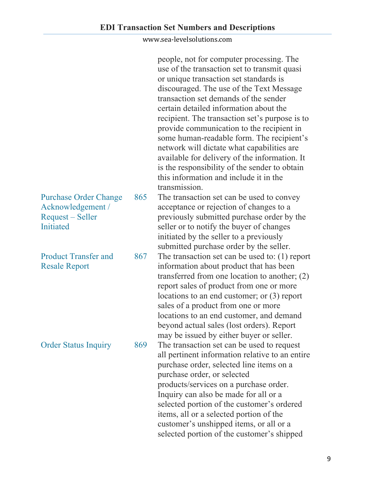|                                                                                    |     | people, not for computer processing. The<br>use of the transaction set to transmit quasi<br>or unique transaction set standards is<br>discouraged. The use of the Text Message<br>transaction set demands of the sender<br>certain detailed information about the<br>recipient. The transaction set's purpose is to<br>provide communication to the recipient in<br>some human-readable form. The recipient's<br>network will dictate what capabilities are<br>available for delivery of the information. It<br>is the responsibility of the sender to obtain<br>this information and include it in the<br>transmission. |
|------------------------------------------------------------------------------------|-----|--------------------------------------------------------------------------------------------------------------------------------------------------------------------------------------------------------------------------------------------------------------------------------------------------------------------------------------------------------------------------------------------------------------------------------------------------------------------------------------------------------------------------------------------------------------------------------------------------------------------------|
| <b>Purchase Order Change</b><br>Acknowledgement /<br>Request – Seller<br>Initiated | 865 | The transaction set can be used to convey<br>acceptance or rejection of changes to a<br>previously submitted purchase order by the<br>seller or to notify the buyer of changes<br>initiated by the seller to a previously<br>submitted purchase order by the seller.                                                                                                                                                                                                                                                                                                                                                     |
| <b>Product Transfer and</b><br><b>Resale Report</b>                                | 867 | The transaction set can be used to: $(1)$ report<br>information about product that has been<br>transferred from one location to another; $(2)$<br>report sales of product from one or more<br>locations to an end customer; or $(3)$ report<br>sales of a product from one or more<br>locations to an end customer, and demand<br>beyond actual sales (lost orders). Report<br>may be issued by either buyer or seller.                                                                                                                                                                                                  |
| <b>Order Status Inquiry</b>                                                        | 869 | The transaction set can be used to request<br>all pertinent information relative to an entire<br>purchase order, selected line items on a<br>purchase order, or selected<br>products/services on a purchase order.<br>Inquiry can also be made for all or a<br>selected portion of the customer's ordered<br>items, all or a selected portion of the<br>customer's unshipped items, or all or a<br>selected portion of the customer's shipped                                                                                                                                                                            |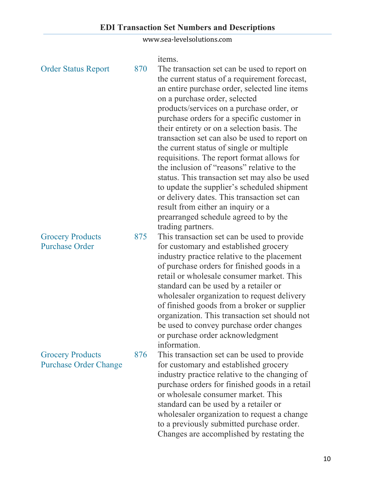| <b>Order Status Report</b>                              | 870 | items.<br>The transaction set can be used to report on<br>the current status of a requirement forecast,<br>an entire purchase order, selected line items<br>on a purchase order, selected<br>products/services on a purchase order, or<br>purchase orders for a specific customer in<br>their entirety or on a selection basis. The<br>transaction set can also be used to report on<br>the current status of single or multiple<br>requisitions. The report format allows for<br>the inclusion of "reasons" relative to the<br>status. This transaction set may also be used<br>to update the supplier's scheduled shipment<br>or delivery dates. This transaction set can<br>result from either an inquiry or a |
|---------------------------------------------------------|-----|-------------------------------------------------------------------------------------------------------------------------------------------------------------------------------------------------------------------------------------------------------------------------------------------------------------------------------------------------------------------------------------------------------------------------------------------------------------------------------------------------------------------------------------------------------------------------------------------------------------------------------------------------------------------------------------------------------------------|
| <b>Grocery Products</b><br><b>Purchase Order</b>        | 875 | prearranged schedule agreed to by the<br>trading partners.<br>This transaction set can be used to provide<br>for customary and established grocery<br>industry practice relative to the placement<br>of purchase orders for finished goods in a<br>retail or wholesale consumer market. This<br>standard can be used by a retailer or<br>wholesaler organization to request delivery<br>of finished goods from a broker or supplier                                                                                                                                                                                                                                                                               |
| <b>Grocery Products</b><br><b>Purchase Order Change</b> | 876 | organization. This transaction set should not<br>be used to convey purchase order changes<br>or purchase order acknowledgment<br>information.<br>This transaction set can be used to provide<br>for customary and established grocery<br>industry practice relative to the changing of<br>purchase orders for finished goods in a retail<br>or wholesale consumer market. This<br>standard can be used by a retailer or<br>wholesaler organization to request a change                                                                                                                                                                                                                                            |

to a previously submitted purchase order. Changes are accomplished by restating the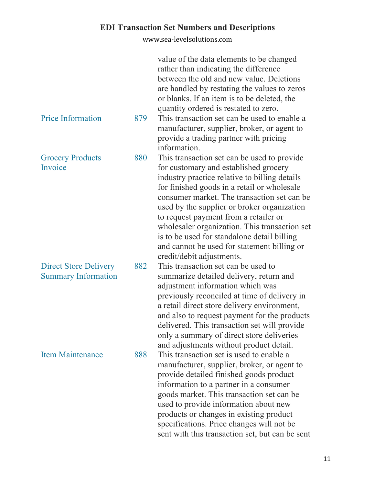|                                                            |     | value of the data elements to be changed<br>rather than indicating the difference<br>between the old and new value. Deletions<br>are handled by restating the values to zeros<br>or blanks. If an item is to be deleted, the<br>quantity ordered is restated to zero.                                                                                                                                                                                    |
|------------------------------------------------------------|-----|----------------------------------------------------------------------------------------------------------------------------------------------------------------------------------------------------------------------------------------------------------------------------------------------------------------------------------------------------------------------------------------------------------------------------------------------------------|
| <b>Price Information</b>                                   | 879 | This transaction set can be used to enable a<br>manufacturer, supplier, broker, or agent to<br>provide a trading partner with pricing<br>information.                                                                                                                                                                                                                                                                                                    |
| <b>Grocery Products</b>                                    | 880 | This transaction set can be used to provide                                                                                                                                                                                                                                                                                                                                                                                                              |
| Invoice                                                    |     | for customary and established grocery<br>industry practice relative to billing details<br>for finished goods in a retail or wholesale<br>consumer market. The transaction set can be<br>used by the supplier or broker organization<br>to request payment from a retailer or<br>wholesaler organization. This transaction set<br>is to be used for standalone detail billing<br>and cannot be used for statement billing or<br>credit/debit adjustments. |
| <b>Direct Store Delivery</b><br><b>Summary Information</b> | 882 | This transaction set can be used to<br>summarize detailed delivery, return and<br>adjustment information which was<br>previously reconciled at time of delivery in<br>a retail direct store delivery environment,<br>and also to request payment for the products<br>delivered. This transaction set will provide<br>only a summary of direct store deliveries<br>and adjustments without product detail.                                                |
| <b>Item Maintenance</b>                                    | 888 | This transaction set is used to enable a<br>manufacturer, supplier, broker, or agent to<br>provide detailed finished goods product<br>information to a partner in a consumer<br>goods market. This transaction set can be<br>used to provide information about new<br>products or changes in existing product<br>specifications. Price changes will not be<br>sent with this transaction set, but can be sent                                            |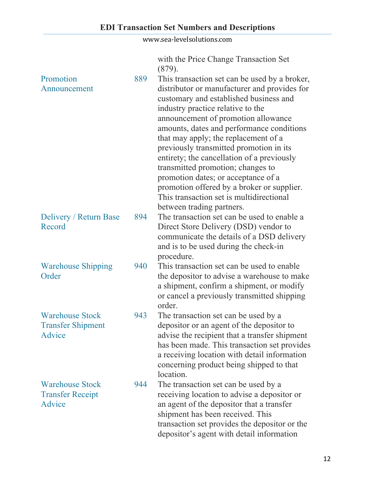with the Price Change Transaction Set (879).

| Promotion<br>Announcement                                    | 889 | This transaction set can be used by a broker,<br>distributor or manufacturer and provides for<br>customary and established business and<br>industry practice relative to the<br>announcement of promotion allowance<br>amounts, dates and performance conditions<br>that may apply; the replacement of a<br>previously transmitted promotion in its<br>entirety; the cancellation of a previously<br>transmitted promotion; changes to<br>promotion dates; or acceptance of a<br>promotion offered by a broker or supplier.<br>This transaction set is multidirectional<br>between trading partners. |
|--------------------------------------------------------------|-----|------------------------------------------------------------------------------------------------------------------------------------------------------------------------------------------------------------------------------------------------------------------------------------------------------------------------------------------------------------------------------------------------------------------------------------------------------------------------------------------------------------------------------------------------------------------------------------------------------|
| Delivery / Return Base<br>Record                             | 894 | The transaction set can be used to enable a<br>Direct Store Delivery (DSD) vendor to<br>communicate the details of a DSD delivery<br>and is to be used during the check-in<br>procedure.                                                                                                                                                                                                                                                                                                                                                                                                             |
| <b>Warehouse Shipping</b><br>Order                           | 940 | This transaction set can be used to enable<br>the depositor to advise a warehouse to make<br>a shipment, confirm a shipment, or modify<br>or cancel a previously transmitted shipping<br>order.                                                                                                                                                                                                                                                                                                                                                                                                      |
| <b>Warehouse Stock</b><br><b>Transfer Shipment</b><br>Advice | 943 | The transaction set can be used by a<br>depositor or an agent of the depositor to<br>advise the recipient that a transfer shipment<br>has been made. This transaction set provides<br>a receiving location with detail information<br>concerning product being shipped to that<br>location.                                                                                                                                                                                                                                                                                                          |
| <b>Warehouse Stock</b><br><b>Transfer Receipt</b><br>Advice  | 944 | The transaction set can be used by a<br>receiving location to advise a depositor or<br>an agent of the depositor that a transfer<br>shipment has been received. This<br>transaction set provides the depositor or the<br>depositor's agent with detail information                                                                                                                                                                                                                                                                                                                                   |